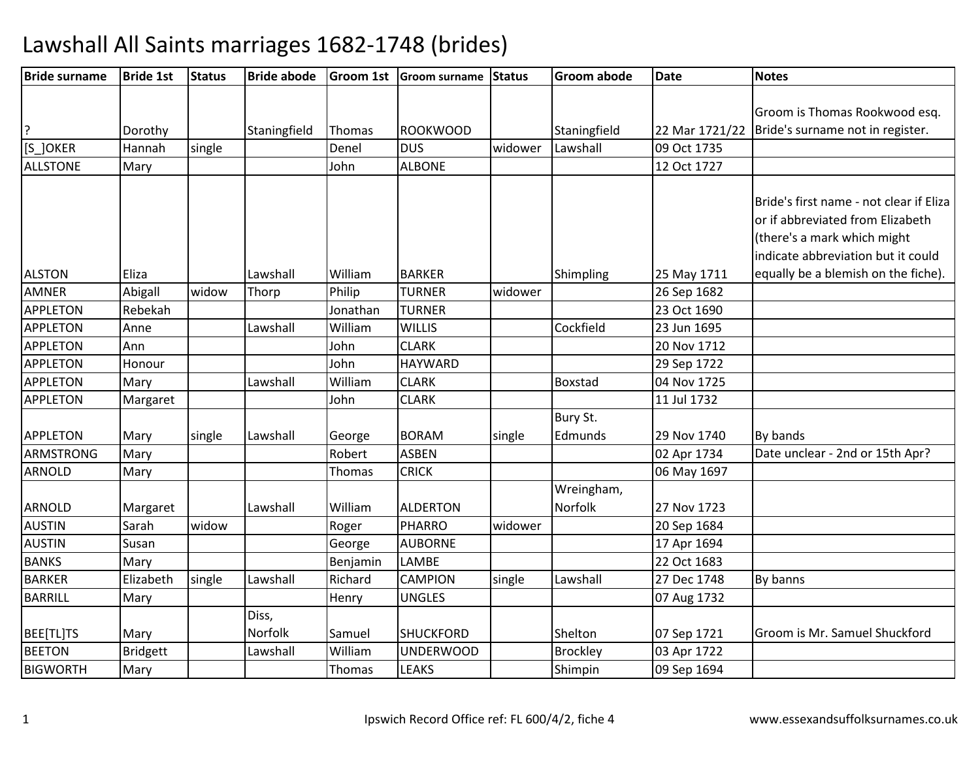| <b>Bride surname</b> | <b>Bride 1st</b> | <b>Status</b> | <b>Bride abode</b> |          | Groom 1st Groom surname | Status  | <b>Groom abode</b> | <b>Date</b>    | <b>Notes</b>                            |
|----------------------|------------------|---------------|--------------------|----------|-------------------------|---------|--------------------|----------------|-----------------------------------------|
|                      |                  |               |                    |          |                         |         |                    |                |                                         |
|                      |                  |               |                    |          |                         |         |                    |                | Groom is Thomas Rookwood esq.           |
| ?                    | Dorothy          |               | Staningfield       | Thomas   | <b>ROOKWOOD</b>         |         | Staningfield       | 22 Mar 1721/22 | Bride's surname not in register.        |
| [S_]OKER             | Hannah           | single        |                    | Denel    | <b>DUS</b>              | widower | Lawshall           | 09 Oct 1735    |                                         |
| <b>ALLSTONE</b>      | Mary             |               |                    | John     | <b>ALBONE</b>           |         |                    | 12 Oct 1727    |                                         |
|                      |                  |               |                    |          |                         |         |                    |                |                                         |
|                      |                  |               |                    |          |                         |         |                    |                | Bride's first name - not clear if Eliza |
|                      |                  |               |                    |          |                         |         |                    |                | or if abbreviated from Elizabeth        |
|                      |                  |               |                    |          |                         |         |                    |                | (there's a mark which might             |
|                      |                  |               |                    |          |                         |         |                    |                | indicate abbreviation but it could      |
| <b>ALSTON</b>        | Eliza            |               | Lawshall           | William  | <b>BARKER</b>           |         | Shimpling          | 25 May 1711    | equally be a blemish on the fiche).     |
| <b>AMNER</b>         | Abigall          | widow         | Thorp              | Philip   | <b>TURNER</b>           | widower |                    | 26 Sep 1682    |                                         |
| APPLETON             | Rebekah          |               |                    | Jonathan | <b>TURNER</b>           |         |                    | 23 Oct 1690    |                                         |
| <b>APPLETON</b>      | Anne             |               | Lawshall           | William  | <b>WILLIS</b>           |         | Cockfield          | 23 Jun 1695    |                                         |
| <b>APPLETON</b>      | Ann              |               |                    | John     | <b>CLARK</b>            |         |                    | 20 Nov 1712    |                                         |
| <b>APPLETON</b>      | Honour           |               |                    | John     | <b>HAYWARD</b>          |         |                    | 29 Sep 1722    |                                         |
| <b>APPLETON</b>      | Mary             |               | Lawshall           | William  | <b>CLARK</b>            |         | <b>Boxstad</b>     | 04 Nov 1725    |                                         |
| <b>APPLETON</b>      | Margaret         |               |                    | John     | <b>CLARK</b>            |         |                    | 11 Jul 1732    |                                         |
|                      |                  |               |                    |          |                         |         | Bury St.           |                |                                         |
| <b>APPLETON</b>      | Mary             | single        | Lawshall           | George   | <b>BORAM</b>            | single  | Edmunds            | 29 Nov 1740    | By bands                                |
| <b>ARMSTRONG</b>     | Mary             |               |                    | Robert   | <b>ASBEN</b>            |         |                    | 02 Apr 1734    | Date unclear - 2nd or 15th Apr?         |
| <b>ARNOLD</b>        | Mary             |               |                    | Thomas   | <b>CRICK</b>            |         |                    | 06 May 1697    |                                         |
|                      |                  |               |                    |          |                         |         | Wreingham,         |                |                                         |
| <b>ARNOLD</b>        | Margaret         |               | Lawshall           | William  | <b>ALDERTON</b>         |         | Norfolk            | 27 Nov 1723    |                                         |
| <b>AUSTIN</b>        | Sarah            | widow         |                    | Roger    | <b>PHARRO</b>           | widower |                    | 20 Sep 1684    |                                         |
| <b>AUSTIN</b>        | Susan            |               |                    | George   | <b>AUBORNE</b>          |         |                    | 17 Apr 1694    |                                         |
| <b>BANKS</b>         | Mary             |               |                    | Benjamin | LAMBE                   |         |                    | 22 Oct 1683    |                                         |
| <b>BARKER</b>        | Elizabeth        | single        | Lawshall           | Richard  | <b>CAMPION</b>          | single  | Lawshall           | 27 Dec 1748    | By banns                                |
| <b>BARRILL</b>       | Mary             |               |                    | Henry    | <b>UNGLES</b>           |         |                    | 07 Aug 1732    |                                         |
|                      |                  |               | Diss,              |          |                         |         |                    |                |                                         |
| BEE[TL]TS            | Mary             |               | Norfolk            | Samuel   | <b>SHUCKFORD</b>        |         | Shelton            | 07 Sep 1721    | Groom is Mr. Samuel Shuckford           |
| <b>BEETON</b>        | <b>Bridgett</b>  |               | Lawshall           | William  | <b>UNDERWOOD</b>        |         | <b>Brockley</b>    | 03 Apr 1722    |                                         |
| <b>BIGWORTH</b>      | Mary             |               |                    | Thomas   | <b>LEAKS</b>            |         | Shimpin            | 09 Sep 1694    |                                         |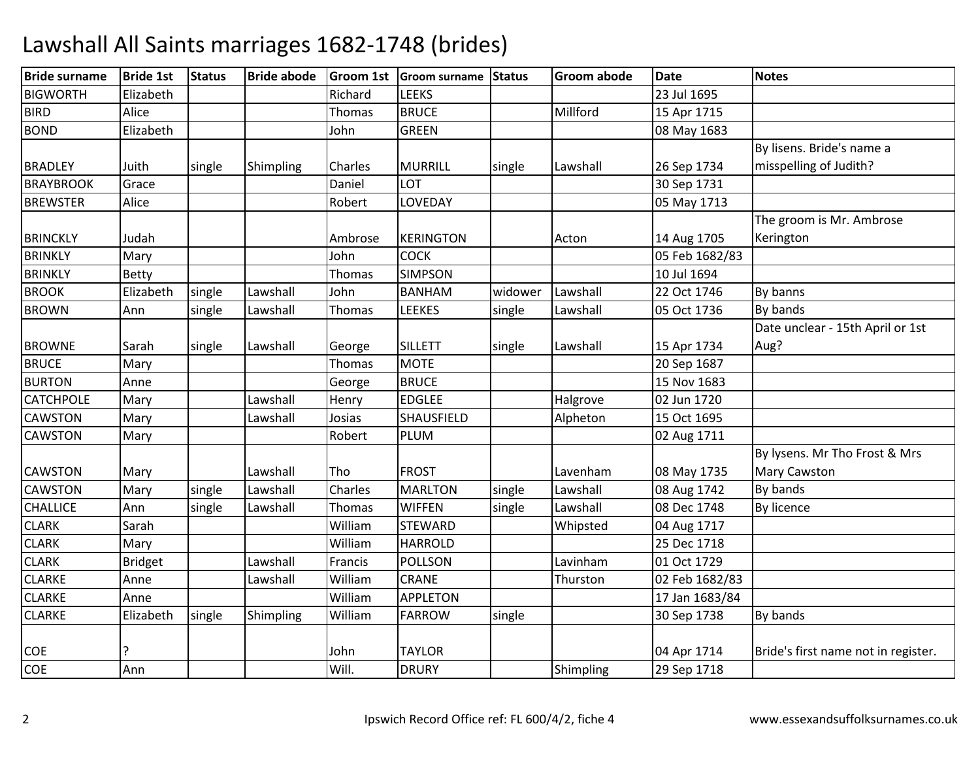| <b>Bride surname</b> | <b>Bride 1st</b> | <b>Status</b> | <b>Bride abode</b> |               | Groom 1st Groom surname Status |         | <b>Groom abode</b> | <b>Date</b>    | <b>Notes</b>                        |
|----------------------|------------------|---------------|--------------------|---------------|--------------------------------|---------|--------------------|----------------|-------------------------------------|
| <b>BIGWORTH</b>      | Elizabeth        |               |                    | Richard       | <b>LEEKS</b>                   |         |                    | 23 Jul 1695    |                                     |
| <b>BIRD</b>          | Alice            |               |                    | Thomas        | <b>BRUCE</b>                   |         | Millford           | 15 Apr 1715    |                                     |
| <b>BOND</b>          | Elizabeth        |               |                    | John          | <b>GREEN</b>                   |         |                    | 08 May 1683    |                                     |
|                      |                  |               |                    |               |                                |         |                    |                | By lisens. Bride's name a           |
| <b>BRADLEY</b>       | Juith            | single        | Shimpling          | Charles       | <b>MURRILL</b>                 | single  | Lawshall           | 26 Sep 1734    | misspelling of Judith?              |
| <b>BRAYBROOK</b>     | Grace            |               |                    | Daniel        | LOT                            |         |                    | 30 Sep 1731    |                                     |
| <b>BREWSTER</b>      | Alice            |               |                    | Robert        | LOVEDAY                        |         |                    | 05 May 1713    |                                     |
|                      |                  |               |                    |               |                                |         |                    |                | The groom is Mr. Ambrose            |
| <b>BRINCKLY</b>      | Judah            |               |                    | Ambrose       | <b>KERINGTON</b>               |         | Acton              | 14 Aug 1705    | Kerington                           |
| <b>BRINKLY</b>       | Mary             |               |                    | John          | <b>COCK</b>                    |         |                    | 05 Feb 1682/83 |                                     |
| <b>BRINKLY</b>       | <b>Betty</b>     |               |                    | <b>Thomas</b> | <b>SIMPSON</b>                 |         |                    | 10 Jul 1694    |                                     |
| <b>BROOK</b>         | Elizabeth        | single        | Lawshall           | John          | <b>BANHAM</b>                  | widower | Lawshall           | 22 Oct 1746    | By banns                            |
| <b>BROWN</b>         | Ann              | single        | Lawshall           | Thomas        | <b>LEEKES</b>                  | single  | Lawshall           | 05 Oct 1736    | By bands                            |
|                      |                  |               |                    |               |                                |         |                    |                | Date unclear - 15th April or 1st    |
| <b>BROWNE</b>        | Sarah            | single        | Lawshall           | George        | <b>SILLETT</b>                 | single  | Lawshall           | 15 Apr 1734    | Aug?                                |
| <b>BRUCE</b>         | Mary             |               |                    | Thomas        | <b>MOTE</b>                    |         |                    | 20 Sep 1687    |                                     |
| <b>BURTON</b>        | Anne             |               |                    | George        | <b>BRUCE</b>                   |         |                    | 15 Nov 1683    |                                     |
| <b>CATCHPOLE</b>     | Mary             |               | Lawshall           | Henry         | <b>EDGLEE</b>                  |         | Halgrove           | 02 Jun 1720    |                                     |
| <b>CAWSTON</b>       | Mary             |               | Lawshall           | Josias        | <b>SHAUSFIELD</b>              |         | Alpheton           | 15 Oct 1695    |                                     |
| <b>CAWSTON</b>       | Mary             |               |                    | Robert        | <b>PLUM</b>                    |         |                    | 02 Aug 1711    |                                     |
|                      |                  |               |                    |               |                                |         |                    |                | By lysens. Mr Tho Frost & Mrs       |
| <b>CAWSTON</b>       | Mary             |               | Lawshall           | Tho           | <b>FROST</b>                   |         | Lavenham           | 08 May 1735    | Mary Cawston                        |
| <b>CAWSTON</b>       | Mary             | single        | Lawshall           | Charles       | <b>MARLTON</b>                 | single  | Lawshall           | 08 Aug 1742    | By bands                            |
| <b>CHALLICE</b>      | Ann              | single        | Lawshall           | Thomas        | <b>WIFFEN</b>                  | single  | Lawshall           | 08 Dec 1748    | By licence                          |
| <b>CLARK</b>         | Sarah            |               |                    | William       | <b>STEWARD</b>                 |         | Whipsted           | 04 Aug 1717    |                                     |
| <b>CLARK</b>         | Mary             |               |                    | William       | <b>HARROLD</b>                 |         |                    | 25 Dec 1718    |                                     |
| <b>CLARK</b>         | <b>Bridget</b>   |               | Lawshall           | Francis       | <b>POLLSON</b>                 |         | Lavinham           | 01 Oct 1729    |                                     |
| <b>CLARKE</b>        | Anne             |               | Lawshall           | William       | <b>CRANE</b>                   |         | Thurston           | 02 Feb 1682/83 |                                     |
| <b>CLARKE</b>        | Anne             |               |                    | William       | <b>APPLETON</b>                |         |                    | 17 Jan 1683/84 |                                     |
| <b>CLARKE</b>        | Elizabeth        | single        | Shimpling          | William       | <b>FARROW</b>                  | single  |                    | 30 Sep 1738    | By bands                            |
|                      |                  |               |                    |               |                                |         |                    |                |                                     |
| <b>COE</b>           |                  |               |                    | John          | <b>TAYLOR</b>                  |         |                    | 04 Apr 1714    | Bride's first name not in register. |
| <b>COE</b>           | Ann              |               |                    | Will.         | <b>DRURY</b>                   |         | Shimpling          | 29 Sep 1718    |                                     |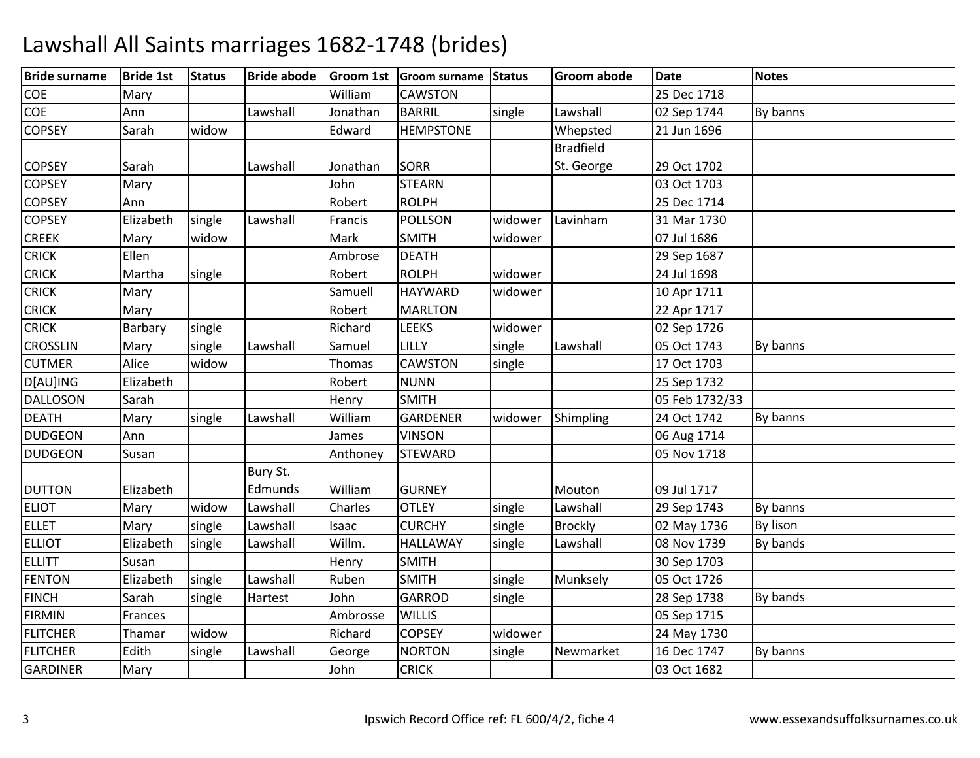| <b>Bride surname</b> | <b>Bride 1st</b> | <b>Status</b> | <b>Bride abode</b> |               | Groom 1st Groom surname Status |         | <b>Groom abode</b> | <b>Date</b>    | <b>Notes</b> |
|----------------------|------------------|---------------|--------------------|---------------|--------------------------------|---------|--------------------|----------------|--------------|
| COE                  | Mary             |               |                    | William       | <b>CAWSTON</b>                 |         |                    | 25 Dec 1718    |              |
| COE                  | Ann              |               | Lawshall           | Jonathan      | <b>BARRIL</b>                  | single  | Lawshall           | 02 Sep 1744    | By banns     |
| <b>COPSEY</b>        | Sarah            | widow         |                    | Edward        | <b>HEMPSTONE</b>               |         | Whepsted           | 21 Jun 1696    |              |
|                      |                  |               |                    |               |                                |         | <b>Bradfield</b>   |                |              |
| <b>COPSEY</b>        | Sarah            |               | Lawshall           | Jonathan      | <b>SORR</b>                    |         | St. George         | 29 Oct 1702    |              |
| <b>COPSEY</b>        | Mary             |               |                    | John          | <b>STEARN</b>                  |         |                    | 03 Oct 1703    |              |
| <b>COPSEY</b>        | Ann              |               |                    | Robert        | <b>ROLPH</b>                   |         |                    | 25 Dec 1714    |              |
| <b>COPSEY</b>        | Elizabeth        | single        | Lawshall           | Francis       | <b>POLLSON</b>                 | widower | Lavinham           | 31 Mar 1730    |              |
| <b>CREEK</b>         | Mary             | widow         |                    | Mark          | <b>SMITH</b>                   | widower |                    | 07 Jul 1686    |              |
| <b>CRICK</b>         | Ellen            |               |                    | Ambrose       | <b>DEATH</b>                   |         |                    | 29 Sep 1687    |              |
| <b>CRICK</b>         | Martha           | single        |                    | Robert        | <b>ROLPH</b>                   | widower |                    | 24 Jul 1698    |              |
| <b>CRICK</b>         | Mary             |               |                    | Samuell       | <b>HAYWARD</b>                 | widower |                    | 10 Apr 1711    |              |
| <b>CRICK</b>         | Mary             |               |                    | Robert        | <b>MARLTON</b>                 |         |                    | 22 Apr 1717    |              |
| <b>CRICK</b>         | Barbary          | single        |                    | Richard       | <b>LEEKS</b>                   | widower |                    | 02 Sep 1726    |              |
| <b>CROSSLIN</b>      | Mary             | single        | Lawshall           | Samuel        | LILLY                          | single  | Lawshall           | 05 Oct 1743    | By banns     |
| <b>CUTMER</b>        | Alice            | widow         |                    | <b>Thomas</b> | <b>CAWSTON</b>                 | single  |                    | 17 Oct 1703    |              |
| D[AU]ING             | Elizabeth        |               |                    | Robert        | <b>NUNN</b>                    |         |                    | 25 Sep 1732    |              |
| <b>DALLOSON</b>      | Sarah            |               |                    | Henry         | <b>SMITH</b>                   |         |                    | 05 Feb 1732/33 |              |
| <b>DEATH</b>         | Mary             | single        | Lawshall           | William       | <b>GARDENER</b>                | widower | Shimpling          | 24 Oct 1742    | By banns     |
| <b>DUDGEON</b>       | Ann              |               |                    | James         | <b>VINSON</b>                  |         |                    | 06 Aug 1714    |              |
| <b>DUDGEON</b>       | Susan            |               |                    | Anthoney      | <b>STEWARD</b>                 |         |                    | 05 Nov 1718    |              |
|                      |                  |               | Bury St.           |               |                                |         |                    |                |              |
| <b>DUTTON</b>        | Elizabeth        |               | Edmunds            | William       | <b>GURNEY</b>                  |         | Mouton             | 09 Jul 1717    |              |
| <b>ELIOT</b>         | Mary             | widow         | Lawshall           | Charles       | <b>OTLEY</b>                   | single  | Lawshall           | 29 Sep 1743    | By banns     |
| <b>ELLET</b>         | Mary             | single        | Lawshall           | Isaac         | <b>CURCHY</b>                  | single  | <b>Brockly</b>     | 02 May 1736    | By lison     |
| <b>ELLIOT</b>        | Elizabeth        | single        | Lawshall           | Willm.        | <b>HALLAWAY</b>                | single  | Lawshall           | 08 Nov 1739    | By bands     |
| <b>ELLITT</b>        | Susan            |               |                    | Henry         | <b>SMITH</b>                   |         |                    | 30 Sep 1703    |              |
| <b>FENTON</b>        | Elizabeth        | single        | Lawshall           | Ruben         | <b>SMITH</b>                   | single  | Munksely           | 05 Oct 1726    |              |
| <b>FINCH</b>         | Sarah            | single        | Hartest            | John          | <b>GARROD</b>                  | single  |                    | 28 Sep 1738    | By bands     |
| <b>FIRMIN</b>        | Frances          |               |                    | Ambrosse      | <b>WILLIS</b>                  |         |                    | 05 Sep 1715    |              |
| <b>FLITCHER</b>      | Thamar           | widow         |                    | Richard       | <b>COPSEY</b>                  | widower |                    | 24 May 1730    |              |
| <b>FLITCHER</b>      | Edith            | single        | Lawshall           | George        | <b>NORTON</b>                  | single  | Newmarket          | 16 Dec 1747    | By banns     |
| <b>GARDINER</b>      | Mary             |               |                    | John          | <b>CRICK</b>                   |         |                    | 03 Oct 1682    |              |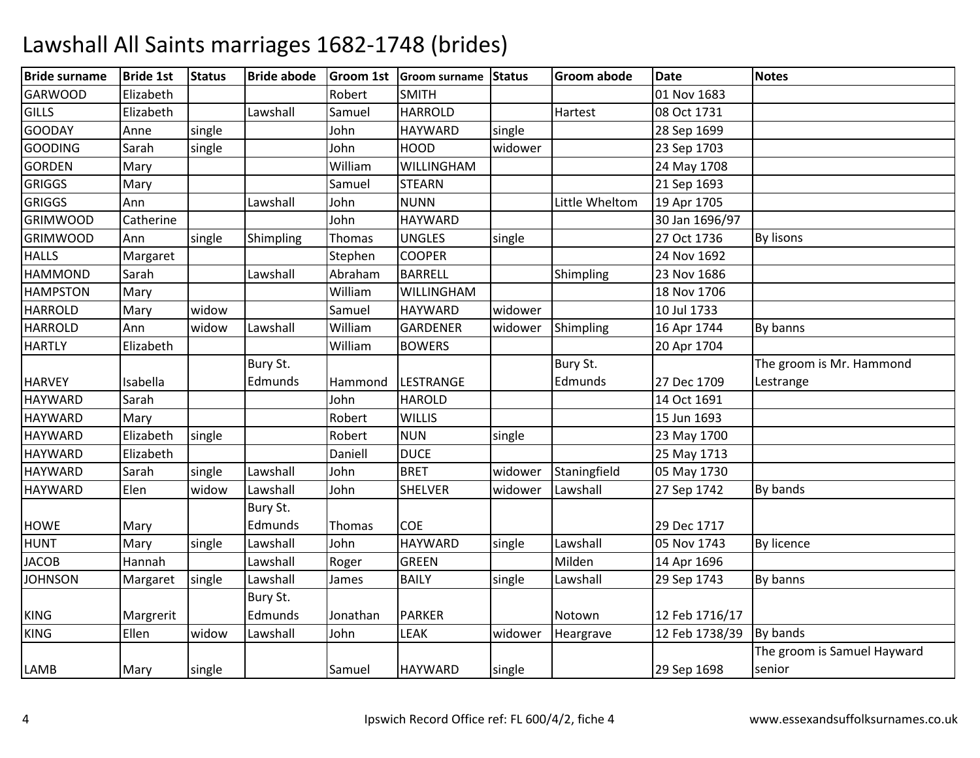| <b>Bride surname</b>           | <b>Bride 1st</b> | <b>Status</b> | <b>Bride abode</b>   |                | Groom 1st   Groom surname Status |         | <b>Groom abode</b> | <b>Date</b>                | <b>Notes</b>                          |
|--------------------------------|------------------|---------------|----------------------|----------------|----------------------------------|---------|--------------------|----------------------------|---------------------------------------|
| <b>GARWOOD</b>                 | Elizabeth        |               |                      | Robert         | <b>SMITH</b>                     |         |                    | 01 Nov 1683                |                                       |
| <b>GILLS</b>                   | Elizabeth        |               | Lawshall             | Samuel         | <b>HARROLD</b>                   |         | Hartest            | 08 Oct 1731                |                                       |
| <b>GOODAY</b>                  | Anne             | single        |                      | John           | <b>HAYWARD</b>                   | single  |                    | 28 Sep 1699                |                                       |
| <b>GOODING</b>                 | Sarah            | single        |                      | John           | <b>HOOD</b>                      | widower |                    | 23 Sep 1703                |                                       |
| <b>GORDEN</b>                  | Mary             |               |                      | William        | WILLINGHAM                       |         |                    | 24 May 1708                |                                       |
| <b>GRIGGS</b>                  | Mary             |               |                      | Samuel         | <b>STEARN</b>                    |         |                    | 21 Sep 1693                |                                       |
| <b>GRIGGS</b>                  | Ann              |               | Lawshall             | John           | <b>NUNN</b>                      |         | Little Wheltom     | 19 Apr 1705                |                                       |
| <b>GRIMWOOD</b>                | Catherine        |               |                      | John           | <b>HAYWARD</b>                   |         |                    | 30 Jan 1696/97             |                                       |
| <b>GRIMWOOD</b>                | Ann              | single        | Shimpling            | Thomas         | <b>UNGLES</b>                    | single  |                    | 27 Oct 1736                | <b>By lisons</b>                      |
| <b>HALLS</b>                   | Margaret         |               |                      | Stephen        | <b>COOPER</b>                    |         |                    | 24 Nov 1692                |                                       |
| <b>HAMMOND</b>                 | Sarah            |               | Lawshall             | Abraham        | <b>BARRELL</b>                   |         | Shimpling          | 23 Nov 1686                |                                       |
| <b>HAMPSTON</b>                | Mary             |               |                      | William        | WILLINGHAM                       |         |                    | 18 Nov 1706                |                                       |
| <b>HARROLD</b>                 | Mary             | widow         |                      | Samuel         | <b>HAYWARD</b>                   | widower |                    | 10 Jul 1733                |                                       |
| <b>HARROLD</b>                 | Ann              | widow         | Lawshall             | William        | GARDENER                         | widower | Shimpling          | 16 Apr 1744                | By banns                              |
| <b>HARTLY</b>                  | Elizabeth        |               |                      | William        | <b>BOWERS</b>                    |         |                    | 20 Apr 1704                |                                       |
|                                |                  |               | Bury St.             |                |                                  |         | Bury St.           |                            | The groom is Mr. Hammond              |
| <b>HARVEY</b>                  | Isabella         |               | Edmunds              | Hammond        | LESTRANGE                        |         | Edmunds            | 27 Dec 1709                | Lestrange                             |
| <b>HAYWARD</b>                 | Sarah            |               |                      | John           | <b>HAROLD</b>                    |         |                    | 14 Oct 1691                |                                       |
| <b>HAYWARD</b>                 | Mary             |               |                      | Robert         | <b>WILLIS</b>                    |         |                    | 15 Jun 1693                |                                       |
| <b>HAYWARD</b>                 | Elizabeth        | single        |                      | Robert         | <b>NUN</b>                       | single  |                    | 23 May 1700                |                                       |
| <b>HAYWARD</b>                 | Elizabeth        |               |                      | Daniell        | <b>DUCE</b>                      |         |                    | 25 May 1713                |                                       |
| <b>HAYWARD</b>                 | Sarah            | single        | Lawshall             | John           | <b>BRET</b>                      | widower | Staningfield       | 05 May 1730                |                                       |
| <b>HAYWARD</b>                 | Elen             | widow         | Lawshall             | John           | <b>SHELVER</b>                   | widower | Lawshall           | 27 Sep 1742                | By bands                              |
|                                |                  |               | Bury St.             |                | COE                              |         |                    |                            |                                       |
| <b>HOWE</b>                    | Mary             |               | Edmunds<br>Lawshall  | Thomas<br>John | <b>HAYWARD</b>                   |         | Lawshall           | 29 Dec 1717<br>05 Nov 1743 | By licence                            |
| <b>HUNT</b>                    | Mary             | single        |                      |                |                                  | single  | Milden             |                            |                                       |
| <b>JACOB</b><br><b>JOHNSON</b> | Hannah           |               | Lawshall<br>Lawshall | Roger          | <b>GREEN</b><br><b>BAILY</b>     |         |                    | 14 Apr 1696                |                                       |
|                                | Margaret         | single        |                      | James          |                                  | single  | Lawshall           | 29 Sep 1743                | By banns                              |
| <b>KING</b>                    | Margrerit        |               | Bury St.<br>Edmunds  | Jonathan       | <b>PARKER</b>                    |         | Notown             | 12 Feb 1716/17             |                                       |
| <b>KING</b>                    | Ellen            | widow         | Lawshall             | John           | <b>LEAK</b>                      | widower | Heargrave          | 12 Feb 1738/39             | By bands                              |
| <b>LAMB</b>                    | Mary             | single        |                      | Samuel         | <b>HAYWARD</b>                   | single  |                    | 29 Sep 1698                | The groom is Samuel Hayward<br>senior |
|                                |                  |               |                      |                |                                  |         |                    |                            |                                       |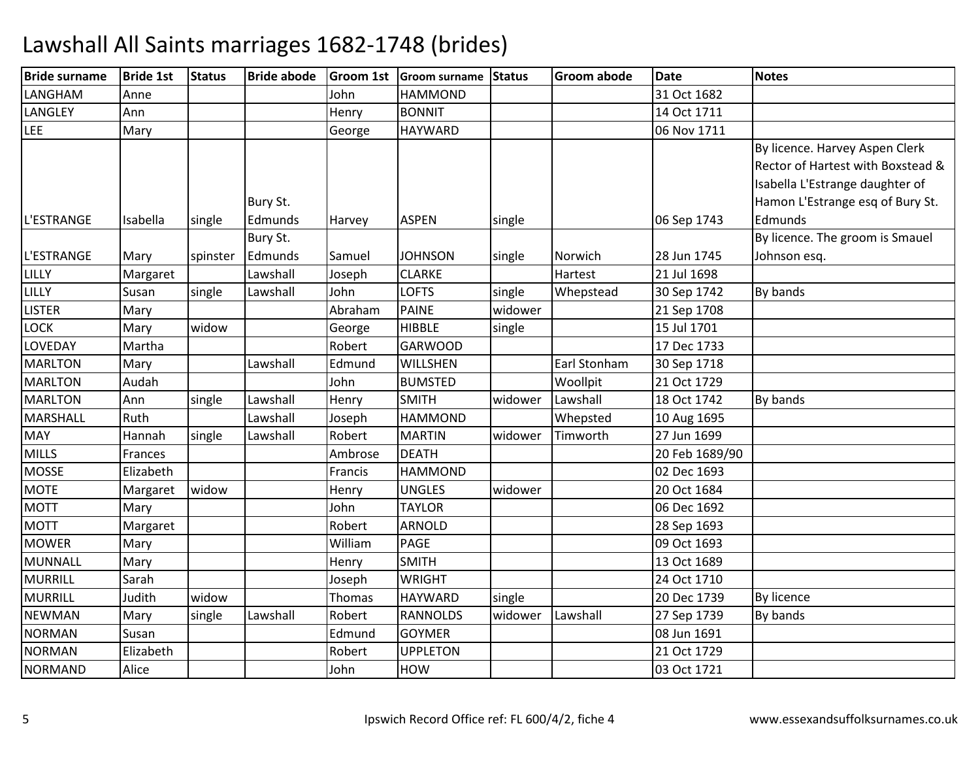| <b>Bride surname</b> | <b>Bride 1st</b> | <b>Status</b> | <b>Bride abode</b>  |               | Groom 1st Groom surname Status |         | <b>Groom abode</b> | Date           | <b>Notes</b>                                                                                                                               |
|----------------------|------------------|---------------|---------------------|---------------|--------------------------------|---------|--------------------|----------------|--------------------------------------------------------------------------------------------------------------------------------------------|
| LANGHAM              | Anne             |               |                     | John          | <b>HAMMOND</b>                 |         |                    | 31 Oct 1682    |                                                                                                                                            |
| <b>LANGLEY</b>       | Ann              |               |                     | Henry         | <b>BONNIT</b>                  |         |                    | 14 Oct 1711    |                                                                                                                                            |
| <b>LEE</b>           | Mary             |               |                     | George        | <b>HAYWARD</b>                 |         |                    | 06 Nov 1711    |                                                                                                                                            |
|                      |                  |               | Bury St.            |               |                                |         |                    |                | By licence. Harvey Aspen Clerk<br>Rector of Hartest with Boxstead &<br>Isabella L'Estrange daughter of<br>Hamon L'Estrange esq of Bury St. |
| L'ESTRANGE           | Isabella         | single        | Edmunds             | Harvey        | <b>ASPEN</b>                   | single  |                    | 06 Sep 1743    | Edmunds                                                                                                                                    |
| L'ESTRANGE           | Mary             | spinster      | Bury St.<br>Edmunds | Samuel        | <b>JOHNSON</b>                 | single  | Norwich            | 28 Jun 1745    | By licence. The groom is Smauel<br>Johnson esq.                                                                                            |
| LILLY                | Margaret         |               | Lawshall            | Joseph        | <b>CLARKE</b>                  |         | Hartest            | 21 Jul 1698    |                                                                                                                                            |
| LILLY                | Susan            | single        | Lawshall            | John          | <b>LOFTS</b>                   | single  | Whepstead          | 30 Sep 1742    | By bands                                                                                                                                   |
| <b>LISTER</b>        | Mary             |               |                     | Abraham       | <b>PAINE</b>                   | widower |                    | 21 Sep 1708    |                                                                                                                                            |
| <b>LOCK</b>          | Mary             | widow         |                     | George        | <b>HIBBLE</b>                  | single  |                    | 15 Jul 1701    |                                                                                                                                            |
| LOVEDAY              | Martha           |               |                     | Robert        | <b>GARWOOD</b>                 |         |                    | 17 Dec 1733    |                                                                                                                                            |
| <b>MARLTON</b>       | Mary             |               | Lawshall            | Edmund        | <b>WILLSHEN</b>                |         | Earl Stonham       | 30 Sep 1718    |                                                                                                                                            |
| <b>MARLTON</b>       | Audah            |               |                     | John          | <b>BUMSTED</b>                 |         | Woollpit           | 21 Oct 1729    |                                                                                                                                            |
| <b>MARLTON</b>       | Ann              | single        | Lawshall            | Henry         | <b>SMITH</b>                   | widower | Lawshall           | 18 Oct 1742    | By bands                                                                                                                                   |
| MARSHALL             | Ruth             |               | Lawshall            | Joseph        | <b>HAMMOND</b>                 |         | Whepsted           | 10 Aug 1695    |                                                                                                                                            |
| <b>MAY</b>           | Hannah           | single        | Lawshall            | Robert        | <b>MARTIN</b>                  | widower | Timworth           | 27 Jun 1699    |                                                                                                                                            |
| <b>MILLS</b>         | Frances          |               |                     | Ambrose       | <b>DEATH</b>                   |         |                    | 20 Feb 1689/90 |                                                                                                                                            |
| <b>MOSSE</b>         | Elizabeth        |               |                     | Francis       | <b>HAMMOND</b>                 |         |                    | 02 Dec 1693    |                                                                                                                                            |
| <b>MOTE</b>          | Margaret         | widow         |                     | Henry         | <b>UNGLES</b>                  | widower |                    | 20 Oct 1684    |                                                                                                                                            |
| <b>MOTT</b>          | Mary             |               |                     | John          | <b>TAYLOR</b>                  |         |                    | 06 Dec 1692    |                                                                                                                                            |
| <b>MOTT</b>          | Margaret         |               |                     | Robert        | <b>ARNOLD</b>                  |         |                    | 28 Sep 1693    |                                                                                                                                            |
| <b>MOWER</b>         | Mary             |               |                     | William       | <b>PAGE</b>                    |         |                    | 09 Oct 1693    |                                                                                                                                            |
| <b>MUNNALL</b>       | Mary             |               |                     | Henry         | <b>SMITH</b>                   |         |                    | 13 Oct 1689    |                                                                                                                                            |
| <b>MURRILL</b>       | Sarah            |               |                     | Joseph        | <b>WRIGHT</b>                  |         |                    | 24 Oct 1710    |                                                                                                                                            |
| <b>MURRILL</b>       | Judith           | widow         |                     | <b>Thomas</b> | <b>HAYWARD</b>                 | single  |                    | 20 Dec 1739    | By licence                                                                                                                                 |
| <b>NEWMAN</b>        | Mary             | single        | Lawshall            | Robert        | <b>RANNOLDS</b>                | widower | Lawshall           | 27 Sep 1739    | By bands                                                                                                                                   |
| <b>NORMAN</b>        | Susan            |               |                     | Edmund        | <b>GOYMER</b>                  |         |                    | 08 Jun 1691    |                                                                                                                                            |
| <b>NORMAN</b>        | Elizabeth        |               |                     | Robert        | <b>UPPLETON</b>                |         |                    | 21 Oct 1729    |                                                                                                                                            |
| <b>NORMAND</b>       | Alice            |               |                     | John          | HOW                            |         |                    | 03 Oct 1721    |                                                                                                                                            |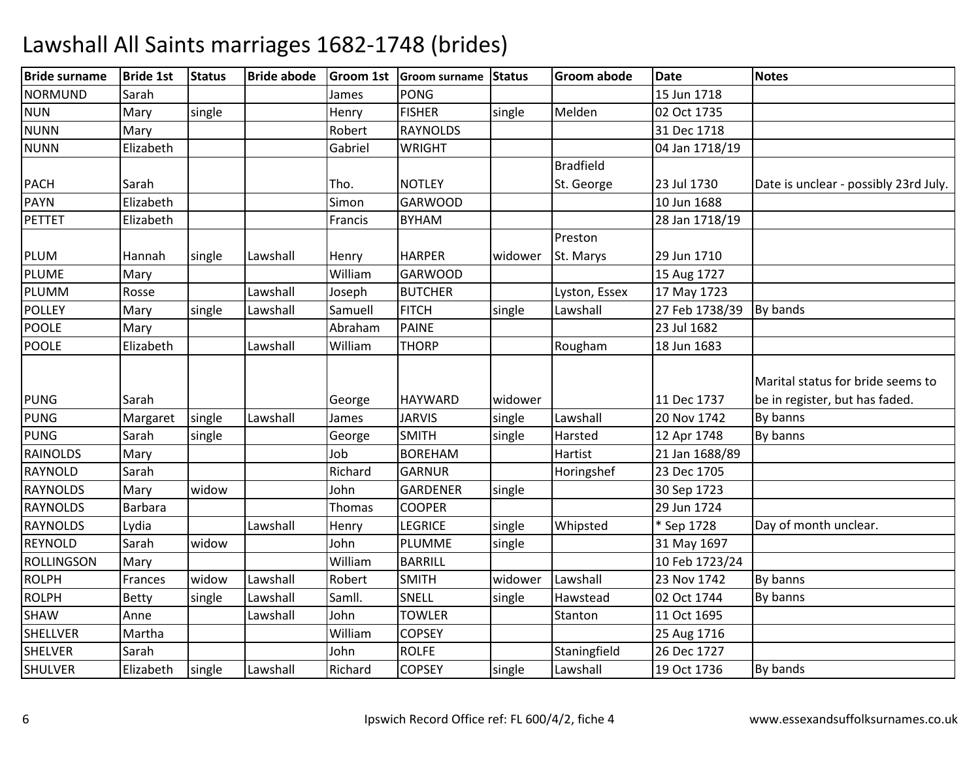| <b>Bride surname</b> | <b>Bride 1st</b> | <b>Status</b> | <b>Bride abode</b> |         | Groom 1st Groom surname | Status  | <b>Groom abode</b> | <b>Date</b>    | <b>Notes</b>                          |
|----------------------|------------------|---------------|--------------------|---------|-------------------------|---------|--------------------|----------------|---------------------------------------|
| <b>NORMUND</b>       | Sarah            |               |                    | James   | <b>PONG</b>             |         |                    | 15 Jun 1718    |                                       |
| <b>NUN</b>           | Mary             | single        |                    | Henry   | <b>FISHER</b>           | single  | Melden             | 02 Oct 1735    |                                       |
| <b>NUNN</b>          | Mary             |               |                    | Robert  | <b>RAYNOLDS</b>         |         |                    | 31 Dec 1718    |                                       |
| <b>NUNN</b>          | Elizabeth        |               |                    | Gabriel | <b>WRIGHT</b>           |         |                    | 04 Jan 1718/19 |                                       |
|                      |                  |               |                    |         |                         |         | <b>Bradfield</b>   |                |                                       |
| <b>PACH</b>          | Sarah            |               |                    | Tho.    | <b>NOTLEY</b>           |         | St. George         | 23 Jul 1730    | Date is unclear - possibly 23rd July. |
| <b>PAYN</b>          | Elizabeth        |               |                    | Simon   | <b>GARWOOD</b>          |         |                    | 10 Jun 1688    |                                       |
| <b>PETTET</b>        | Elizabeth        |               |                    | Francis | <b>BYHAM</b>            |         |                    | 28 Jan 1718/19 |                                       |
|                      |                  |               |                    |         |                         |         | Preston            |                |                                       |
| PLUM                 | Hannah           | single        | Lawshall           | Henry   | <b>HARPER</b>           | widower | St. Marys          | 29 Jun 1710    |                                       |
| <b>PLUME</b>         | Mary             |               |                    | William | <b>GARWOOD</b>          |         |                    | 15 Aug 1727    |                                       |
| PLUMM                | Rosse            |               | Lawshall           | Joseph  | <b>BUTCHER</b>          |         | Lyston, Essex      | 17 May 1723    |                                       |
| <b>POLLEY</b>        | Mary             | single        | Lawshall           | Samuell | <b>FITCH</b>            | single  | Lawshall           | 27 Feb 1738/39 | By bands                              |
| <b>POOLE</b>         | Mary             |               |                    | Abraham | <b>PAINE</b>            |         |                    | 23 Jul 1682    |                                       |
| <b>POOLE</b>         | Elizabeth        |               | Lawshall           | William | <b>THORP</b>            |         | Rougham            | 18 Jun 1683    |                                       |
|                      |                  |               |                    |         |                         |         |                    |                |                                       |
|                      |                  |               |                    |         |                         |         |                    |                | Marital status for bride seems to     |
| <b>PUNG</b>          | Sarah            |               |                    | George  | <b>HAYWARD</b>          | widower |                    | 11 Dec 1737    | be in register, but has faded.        |
| <b>PUNG</b>          | Margaret         | single        | Lawshall           | James   | <b>JARVIS</b>           | single  | Lawshall           | 20 Nov 1742    | By banns                              |
| <b>PUNG</b>          | Sarah            | single        |                    | George  | <b>SMITH</b>            | single  | Harsted            | 12 Apr 1748    | By banns                              |
| <b>RAINOLDS</b>      | Mary             |               |                    | Job     | <b>BOREHAM</b>          |         | Hartist            | 21 Jan 1688/89 |                                       |
| <b>RAYNOLD</b>       | Sarah            |               |                    | Richard | <b>GARNUR</b>           |         | Horingshef         | 23 Dec 1705    |                                       |
| <b>RAYNOLDS</b>      | Mary             | widow         |                    | John    | <b>GARDENER</b>         | single  |                    | 30 Sep 1723    |                                       |
| <b>RAYNOLDS</b>      | Barbara          |               |                    | Thomas  | <b>COOPER</b>           |         |                    | 29 Jun 1724    |                                       |
| <b>RAYNOLDS</b>      | Lydia            |               | Lawshall           | Henry   | <b>LEGRICE</b>          | single  | Whipsted           | * Sep 1728     | Day of month unclear.                 |
| <b>REYNOLD</b>       | Sarah            | widow         |                    | John    | PLUMME                  | single  |                    | 31 May 1697    |                                       |
| <b>ROLLINGSON</b>    | Mary             |               |                    | William | <b>BARRILL</b>          |         |                    | 10 Feb 1723/24 |                                       |
| <b>ROLPH</b>         | Frances          | widow         | Lawshall           | Robert  | <b>SMITH</b>            | widower | Lawshall           | 23 Nov 1742    | By banns                              |
| <b>ROLPH</b>         | Betty            | single        | Lawshall           | Samll.  | SNELL                   | single  | Hawstead           | 02 Oct 1744    | By banns                              |
| SHAW                 | Anne             |               | Lawshall           | John    | <b>TOWLER</b>           |         | Stanton            | 11 Oct 1695    |                                       |
| <b>SHELLVER</b>      | Martha           |               |                    | William | <b>COPSEY</b>           |         |                    | 25 Aug 1716    |                                       |
| <b>SHELVER</b>       | Sarah            |               |                    | John    | <b>ROLFE</b>            |         | Staningfield       | 26 Dec 1727    |                                       |
| <b>SHULVER</b>       | Elizabeth        | single        | Lawshall           | Richard | <b>COPSEY</b>           | single  | Lawshall           | 19 Oct 1736    | By bands                              |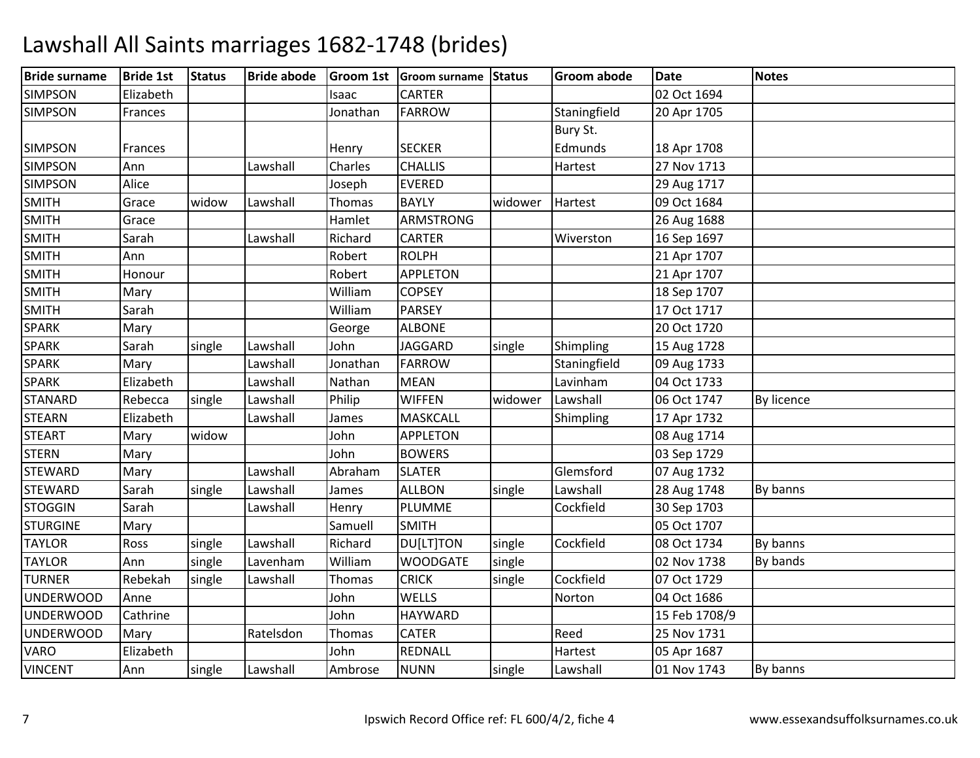| <b>Bride surname</b> | <b>Bride 1st</b> | <b>Status</b> | <b>Bride abode</b> |          | Groom 1st Groom surname | Status  | Groom abode  | <b>Date</b>   | <b>Notes</b> |
|----------------------|------------------|---------------|--------------------|----------|-------------------------|---------|--------------|---------------|--------------|
| <b>SIMPSON</b>       | Elizabeth        |               |                    | Isaac    | <b>CARTER</b>           |         |              | 02 Oct 1694   |              |
| <b>SIMPSON</b>       | Frances          |               |                    | Jonathan | <b>FARROW</b>           |         | Staningfield | 20 Apr 1705   |              |
|                      |                  |               |                    |          |                         |         | Bury St.     |               |              |
| <b>SIMPSON</b>       | Frances          |               |                    | Henry    | <b>SECKER</b>           |         | Edmunds      | 18 Apr 1708   |              |
| <b>SIMPSON</b>       | Ann              |               | Lawshall           | Charles  | <b>CHALLIS</b>          |         | Hartest      | 27 Nov 1713   |              |
| <b>SIMPSON</b>       | Alice            |               |                    | Joseph   | <b>EVERED</b>           |         |              | 29 Aug 1717   |              |
| <b>SMITH</b>         | Grace            | widow         | Lawshall           | Thomas   | <b>BAYLY</b>            | widower | Hartest      | 09 Oct 1684   |              |
| <b>SMITH</b>         | Grace            |               |                    | Hamlet   | <b>ARMSTRONG</b>        |         |              | 26 Aug 1688   |              |
| <b>SMITH</b>         | Sarah            |               | Lawshall           | Richard  | CARTER                  |         | Wiverston    | 16 Sep 1697   |              |
| <b>SMITH</b>         | Ann              |               |                    | Robert   | <b>ROLPH</b>            |         |              | 21 Apr 1707   |              |
| <b>SMITH</b>         | Honour           |               |                    | Robert   | <b>APPLETON</b>         |         |              | 21 Apr 1707   |              |
| <b>SMITH</b>         | Mary             |               |                    | William  | <b>COPSEY</b>           |         |              | 18 Sep 1707   |              |
| <b>SMITH</b>         | Sarah            |               |                    | William  | <b>PARSEY</b>           |         |              | 17 Oct 1717   |              |
| <b>SPARK</b>         | Mary             |               |                    | George   | <b>ALBONE</b>           |         |              | 20 Oct 1720   |              |
| <b>SPARK</b>         | Sarah            | single        | Lawshall           | John     | <b>JAGGARD</b>          | single  | Shimpling    | 15 Aug 1728   |              |
| <b>SPARK</b>         | Mary             |               | Lawshall           | Jonathan | <b>FARROW</b>           |         | Staningfield | 09 Aug 1733   |              |
| <b>SPARK</b>         | Elizabeth        |               | Lawshall           | Nathan   | <b>MEAN</b>             |         | Lavinham     | 04 Oct 1733   |              |
| <b>STANARD</b>       | Rebecca          | single        | Lawshall           | Philip   | <b>WIFFEN</b>           | widower | Lawshall     | 06 Oct 1747   | By licence   |
| <b>STEARN</b>        | Elizabeth        |               | Lawshall           | James    | <b>MASKCALL</b>         |         | Shimpling    | 17 Apr 1732   |              |
| <b>STEART</b>        | Mary             | widow         |                    | John     | <b>APPLETON</b>         |         |              | 08 Aug 1714   |              |
| <b>STERN</b>         | Mary             |               |                    | John     | <b>BOWERS</b>           |         |              | 03 Sep 1729   |              |
| <b>STEWARD</b>       | Mary             |               | Lawshall           | Abraham  | <b>SLATER</b>           |         | Glemsford    | 07 Aug 1732   |              |
| <b>STEWARD</b>       | Sarah            | single        | Lawshall           | James    | <b>ALLBON</b>           | single  | Lawshall     | 28 Aug 1748   | By banns     |
| <b>STOGGIN</b>       | Sarah            |               | Lawshall           | Henry    | PLUMME                  |         | Cockfield    | 30 Sep 1703   |              |
| <b>STURGINE</b>      | Mary             |               |                    | Samuell  | <b>SMITH</b>            |         |              | 05 Oct 1707   |              |
| <b>TAYLOR</b>        | Ross             | single        | Lawshall           | Richard  | DU[LT]TON               | single  | Cockfield    | 08 Oct 1734   | By banns     |
| <b>TAYLOR</b>        | Ann              | single        | Lavenham           | William  | <b>WOODGATE</b>         | single  |              | 02 Nov 1738   | By bands     |
| <b>TURNER</b>        | Rebekah          | single        | Lawshall           | Thomas   | <b>CRICK</b>            | single  | Cockfield    | 07 Oct 1729   |              |
| <b>UNDERWOOD</b>     | Anne             |               |                    | John     | <b>WELLS</b>            |         | Norton       | 04 Oct 1686   |              |
| <b>UNDERWOOD</b>     | Cathrine         |               |                    | John     | <b>HAYWARD</b>          |         |              | 15 Feb 1708/9 |              |
| <b>UNDERWOOD</b>     | Mary             |               | Ratelsdon          | Thomas   | <b>CATER</b>            |         | Reed         | 25 Nov 1731   |              |
| <b>VARO</b>          | Elizabeth        |               |                    | John     | REDNALL                 |         | Hartest      | 05 Apr 1687   |              |
| <b>VINCENT</b>       | Ann              | single        | Lawshall           | Ambrose  | <b>NUNN</b>             | single  | Lawshall     | 01 Nov 1743   | By banns     |